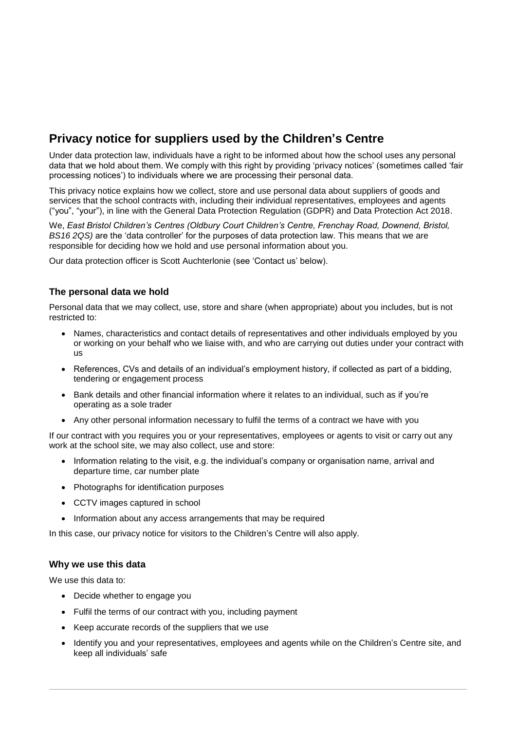# **Privacy notice for suppliers used by the Children's Centre**

Under data protection law, individuals have a right to be informed about how the school uses any personal data that we hold about them. We comply with this right by providing 'privacy notices' (sometimes called 'fair processing notices') to individuals where we are processing their personal data.

This privacy notice explains how we collect, store and use personal data about suppliers of goods and services that the school contracts with, including their individual representatives, employees and agents ("you", "your"), in line with the General Data Protection Regulation (GDPR) and Data Protection Act 2018.

We, *East Bristol Children's Centres (Oldbury Court Children's Centre, Frenchay Road, Downend, Bristol, BS16 2QS)* are the 'data controller' for the purposes of data protection law. This means that we are responsible for deciding how we hold and use personal information about you.

Our data protection officer is Scott Auchterlonie (see 'Contact us' below).

## **The personal data we hold**

Personal data that we may collect, use, store and share (when appropriate) about you includes, but is not restricted to:

- Names, characteristics and contact details of representatives and other individuals employed by you or working on your behalf who we liaise with, and who are carrying out duties under your contract with us
- References, CVs and details of an individual's employment history, if collected as part of a bidding, tendering or engagement process
- Bank details and other financial information where it relates to an individual, such as if you're operating as a sole trader
- Any other personal information necessary to fulfil the terms of a contract we have with you

If our contract with you requires you or your representatives, employees or agents to visit or carry out any work at the school site, we may also collect, use and store:

- Information relating to the visit, e.g. the individual's company or organisation name, arrival and departure time, car number plate
- Photographs for identification purposes
- CCTV images captured in school
- Information about any access arrangements that may be required

In this case, our privacy notice for visitors to the Children's Centre will also apply.

### **Why we use this data**

We use this data to:

- Decide whether to engage you
- Fulfil the terms of our contract with you, including payment
- Keep accurate records of the suppliers that we use
- Identify you and your representatives, employees and agents while on the Children's Centre site, and keep all individuals' safe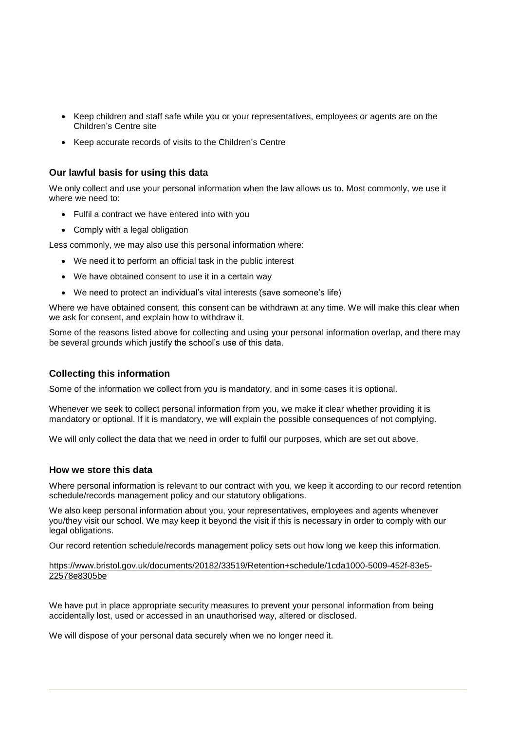- Keep children and staff safe while you or your representatives, employees or agents are on the Children's Centre site
- Keep accurate records of visits to the Children's Centre

### **Our lawful basis for using this data**

We only collect and use your personal information when the law allows us to. Most commonly, we use it where we need to:

- Fulfil a contract we have entered into with you
- Comply with a legal obligation

Less commonly, we may also use this personal information where:

- We need it to perform an official task in the public interest
- We have obtained consent to use it in a certain way
- We need to protect an individual's vital interests (save someone's life)

Where we have obtained consent, this consent can be withdrawn at any time. We will make this clear when we ask for consent, and explain how to withdraw it.

Some of the reasons listed above for collecting and using your personal information overlap, and there may be several grounds which justify the school's use of this data.

### **Collecting this information**

Some of the information we collect from you is mandatory, and in some cases it is optional.

Whenever we seek to collect personal information from you, we make it clear whether providing it is mandatory or optional. If it is mandatory, we will explain the possible consequences of not complying.

We will only collect the data that we need in order to fulfil our purposes, which are set out above.

### **How we store this data**

Where personal information is relevant to our contract with you, we keep it according to our record retention schedule/records management policy and our statutory obligations.

We also keep personal information about you, your representatives, employees and agents whenever you/they visit our school. We may keep it beyond the visit if this is necessary in order to comply with our legal obligations.

Our record retention schedule/records management policy sets out how long we keep this information.

#### [https://www.bristol.gov.uk/documents/20182/33519/Retention+schedule/1cda1000-5009-452f-83e5-](https://www.bristol.gov.uk/documents/20182/33519/Retention+schedule/1cda1000-5009-452f-83e5-22578e8305be) [22578e8305be](https://www.bristol.gov.uk/documents/20182/33519/Retention+schedule/1cda1000-5009-452f-83e5-22578e8305be)

We have put in place appropriate security measures to prevent your personal information from being accidentally lost, used or accessed in an unauthorised way, altered or disclosed.

We will dispose of your personal data securely when we no longer need it.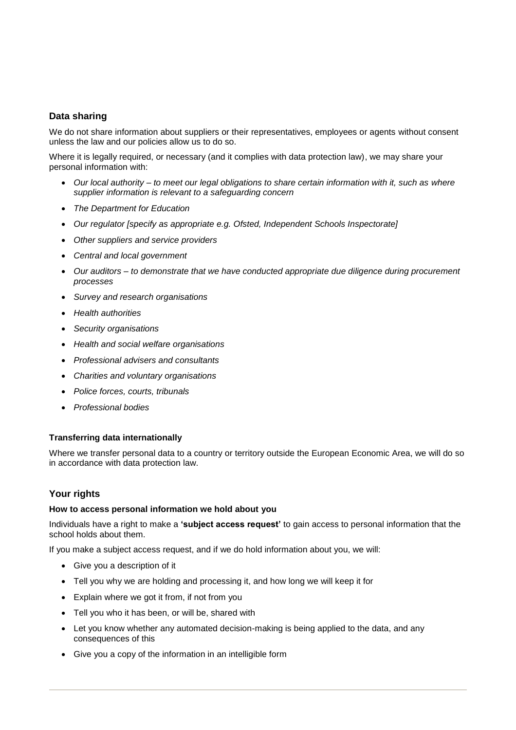# **Data sharing**

We do not share information about suppliers or their representatives, employees or agents without consent unless the law and our policies allow us to do so.

Where it is legally required, or necessary (and it complies with data protection law), we may share your personal information with:

- *Our local authority – to meet our legal obligations to share certain information with it, such as where supplier information is relevant to a safeguarding concern*
- *The Department for Education*
- *Our regulator [specify as appropriate e.g. Ofsted, Independent Schools Inspectorate]*
- *Other suppliers and service providers*
- *Central and local government*
- *Our auditors – to demonstrate that we have conducted appropriate due diligence during procurement processes*
- *Survey and research organisations*
- *Health authorities*
- *Security organisations*
- *Health and social welfare organisations*
- *Professional advisers and consultants*
- *Charities and voluntary organisations*
- *Police forces, courts, tribunals*
- *Professional bodies*

### **Transferring data internationally**

Where we transfer personal data to a country or territory outside the European Economic Area, we will do so in accordance with data protection law.

### **Your rights**

#### **How to access personal information we hold about you**

Individuals have a right to make a **'subject access request'** to gain access to personal information that the school holds about them.

If you make a subject access request, and if we do hold information about you, we will:

- Give you a description of it
- Tell you why we are holding and processing it, and how long we will keep it for
- Explain where we got it from, if not from you
- Tell you who it has been, or will be, shared with
- Let you know whether any automated decision-making is being applied to the data, and any consequences of this
- Give you a copy of the information in an intelligible form